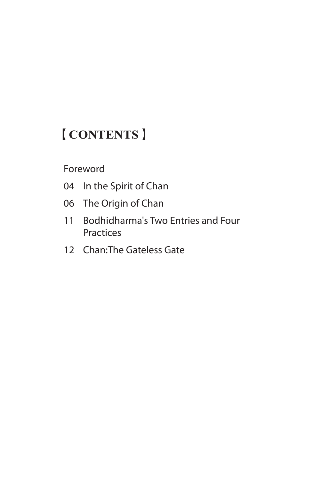# 【**CONTENTS**】

#### Foreword

- 04 In the Spirit of Chan
- 06 The Origin of Chan
- 11 Bodhidharma's Two Entries and Four **Practices**
- 12 Chan:The Gateless Gate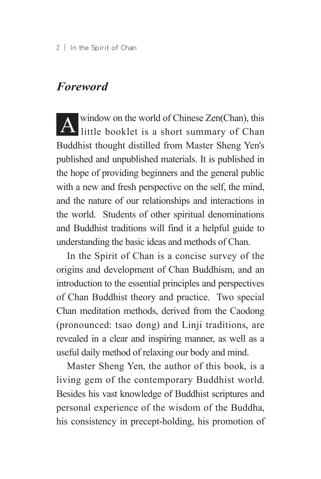#### *Foreword*

A window on the world of Chinese Zen(Chan), this little booklet is a short summary of Chan Buddhist thought distilled from Master Sheng Yen's published and unpublished materials. It is published in the hope of providing beginners and the general public with a new and fresh perspective on the self, the mind, and the nature of our relationships and interactions in the world. Students of other spiritual denominations and Buddhist traditions will find it a helpful guide to understanding the basic ideas and methods of Chan.

In the Spirit of Chan is a concise survey of the origins and development of Chan Buddhism, and an introduction to the essential principles and perspectives of Chan Buddhist theory and practice. Two special Chan meditation methods, derived from the Caodong (pronounced: tsao dong) and Linji traditions, are revealed in a clear and inspiring manner, as well as a useful daily method of relaxing our body and mind.

Master Sheng Yen, the author of this book, is a living gem of the contemporary Buddhist world. Besides his vast knowledge of Buddhist scriptures and personal experience of the wisdom of the Buddha, his consistency in precept-holding, his promotion of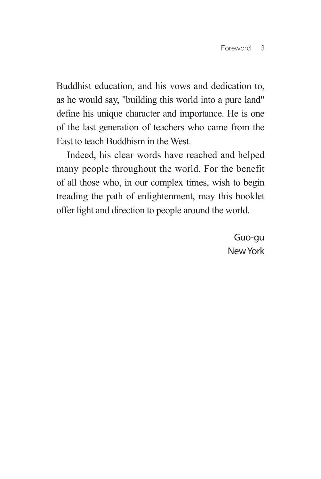Buddhist education, and his vows and dedication to, as he would say, "building this world into a pure land" define his unique character and importance. He is one of the last generation of teachers who came from the East to teach Buddhism in the West.

Indeed, his clear words have reached and helped many people throughout the world. For the benefit of all those who, in our complex times, wish to begin treading the path of enlightenment, may this booklet offer light and direction to people around the world.

> Guo-gu New York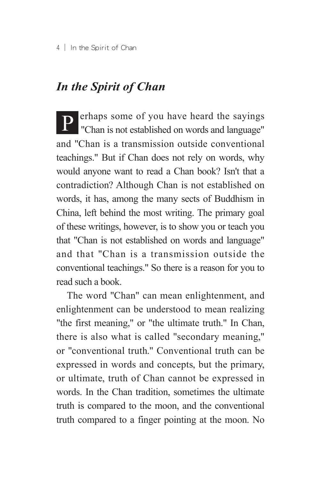## *In the Spirit of Chan*

P erhaps some of you have heard the sayings "Chan is not established on words and language" and "Chan is a transmission outside conventional teachings." But if Chan does not rely on words, why would anyone want to read a Chan book? Isn't that a contradiction? Although Chan is not established on words, it has, among the many sects of Buddhism in China, left behind the most writing. The primary goal of these writings, however, is to show you or teach you that "Chan is not established on words and language" and that "Chan is a transmission outside the conventional teachings." So there is a reason for you to read such a book.

The word "Chan" can mean enlightenment, and enlightenment can be understood to mean realizing "the first meaning," or "the ultimate truth." In Chan, there is also what is called "secondary meaning," or "conventional truth." Conventional truth can be expressed in words and concepts, but the primary, or ultimate, truth of Chan cannot be expressed in words. In the Chan tradition, sometimes the ultimate truth is compared to the moon, and the conventional truth compared to a finger pointing at the moon. No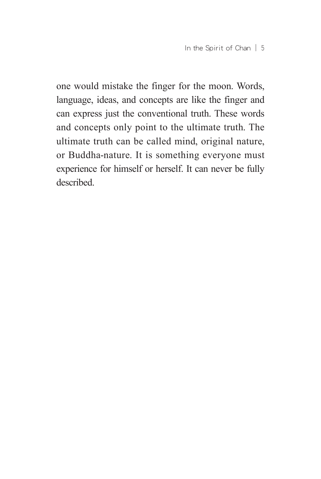one would mistake the finger for the moon. Words, language, ideas, and concepts are like the finger and can express just the conventional truth. These words and concepts only point to the ultimate truth. The ultimate truth can be called mind, original nature, or Buddha-nature. It is something everyone must experience for himself or herself. It can never be fully described.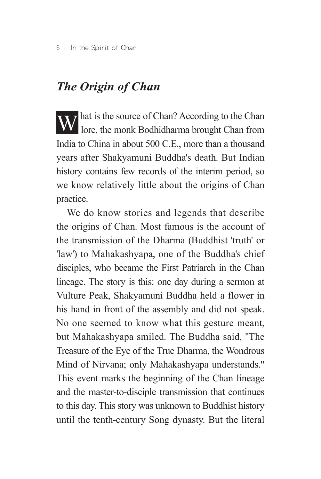## *The Origin of Chan*

What is the source of Chan? According to the Chan lore, the monk Bodhidharma brought Chan from India to China in about 500 C.E., more than a thousand years after Shakyamuni Buddha's death. But Indian history contains few records of the interim period, so we know relatively little about the origins of Chan practice.

We do know stories and legends that describe the origins of Chan. Most famous is the account of the transmission of the Dharma (Buddhist 'truth' or 'law') to Mahakashyapa, one of the Buddha's chief disciples, who became the First Patriarch in the Chan lineage. The story is this: one day during a sermon at Vulture Peak, Shakyamuni Buddha held a flower in his hand in front of the assembly and did not speak. No one seemed to know what this gesture meant, but Mahakashyapa smiled. The Buddha said, "The Treasure of the Eye of the True Dharma, the Wondrous Mind of Nirvana; only Mahakashyapa understands." This event marks the beginning of the Chan lineage and the master-to-disciple transmission that continues to this day. This story was unknown to Buddhist history until the tenth-century Song dynasty. But the literal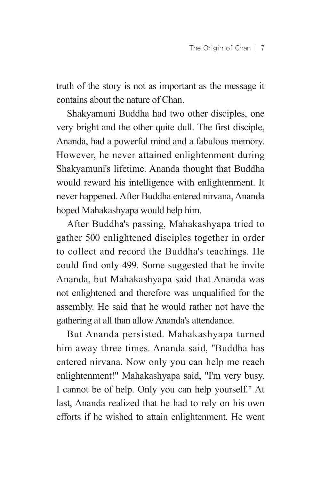truth of the story is not as important as the message it contains about the nature of Chan.

Shakyamuni Buddha had two other disciples, one very bright and the other quite dull. The first disciple, Ananda, had a powerful mind and a fabulous memory. However, he never attained enlightenment during Shakyamuni's lifetime. Ananda thought that Buddha would reward his intelligence with enlightenment. It never happened. After Buddha entered nirvana, Ananda hoped Mahakashyapa would help him.

After Buddha's passing, Mahakashyapa tried to gather 500 enlightened disciples together in order to collect and record the Buddha's teachings. He could find only 499. Some suggested that he invite Ananda, but Mahakashyapa said that Ananda was not enlightened and therefore was unqualified for the assembly. He said that he would rather not have the gathering at all than allow Ananda's attendance.

But Ananda persisted. Mahakashyapa turned him away three times. Ananda said, "Buddha has entered nirvana. Now only you can help me reach enlightenment!" Mahakashyapa said, "I'm very busy. I cannot be of help. Only you can help yourself." At last, Ananda realized that he had to rely on his own efforts if he wished to attain enlightenment. He went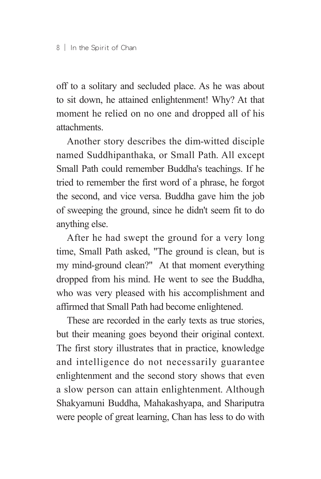off to a solitary and secluded place. As he was about to sit down, he attained enlightenment! Why? At that moment he relied on no one and dropped all of his attachments.

Another story describes the dim-witted disciple named Suddhipanthaka, or Small Path. All except Small Path could remember Buddha's teachings. If he tried to remember the first word of a phrase, he forgot the second, and vice versa. Buddha gave him the job of sweeping the ground, since he didn't seem fit to do anything else.

After he had swept the ground for a very long time, Small Path asked, "The ground is clean, but is my mind-ground clean?" At that moment everything dropped from his mind. He went to see the Buddha, who was very pleased with his accomplishment and affirmed that Small Path had become enlightened.

These are recorded in the early texts as true stories, but their meaning goes beyond their original context. The first story illustrates that in practice, knowledge and intelligence do not necessarily guarantee enlightenment and the second story shows that even a slow person can attain enlightenment. Although Shakyamuni Buddha, Mahakashyapa, and Shariputra were people of great learning, Chan has less to do with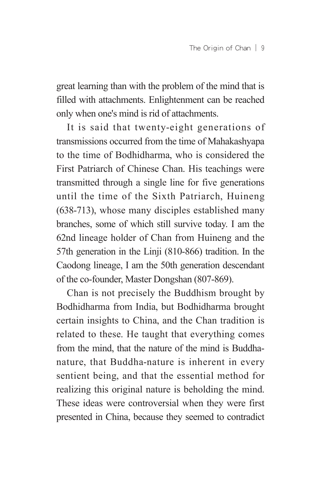great learning than with the problem of the mind that is filled with attachments. Enlightenment can be reached only when one's mind is rid of attachments.

It is said that twenty-eight generations of transmissions occurred from the time of Mahakashyapa to the time of Bodhidharma, who is considered the First Patriarch of Chinese Chan. His teachings were transmitted through a single line for five generations until the time of the Sixth Patriarch, Huineng (638-713), whose many disciples established many branches, some of which still survive today. I am the 62nd lineage holder of Chan from Huineng and the 57th generation in the Linji (810-866) tradition. In the Caodong lineage, I am the 50th generation descendant of the co-founder, Master Dongshan (807-869).

Chan is not precisely the Buddhism brought by Bodhidharma from India, but Bodhidharma brought certain insights to China, and the Chan tradition is related to these. He taught that everything comes from the mind, that the nature of the mind is Buddhanature, that Buddha-nature is inherent in every sentient being, and that the essential method for realizing this original nature is beholding the mind. These ideas were controversial when they were first presented in China, because they seemed to contradict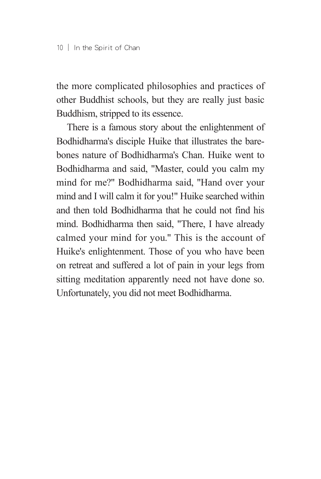the more complicated philosophies and practices of other Buddhist schools, but they are really just basic Buddhism, stripped to its essence.

There is a famous story about the enlightenment of Bodhidharma's disciple Huike that illustrates the barebones nature of Bodhidharma's Chan. Huike went to Bodhidharma and said, "Master, could you calm my mind for me?" Bodhidharma said, "Hand over your mind and I will calm it for you!" Huike searched within and then told Bodhidharma that he could not find his mind. Bodhidharma then said, "There, I have already calmed your mind for you." This is the account of Huike's enlightenment. Those of you who have been on retreat and suffered a lot of pain in your legs from sitting meditation apparently need not have done so. Unfortunately, you did not meet Bodhidharma.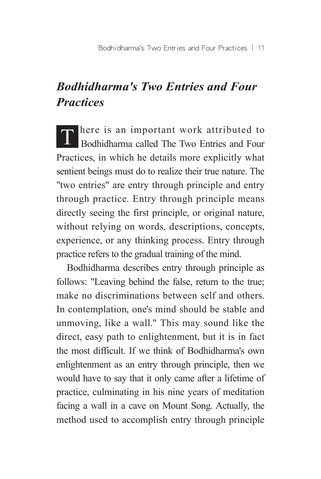# *Bodhidharma's Two Entries and Four Practices*

T here is an important work attributed to Bodhidharma called The Two Entries and Four Practices, in which he details more explicitly what sentient beings must do to realize their true nature. The "two entries" are entry through principle and entry through practice. Entry through principle means directly seeing the first principle, or original nature, without relying on words, descriptions, concepts, experience, or any thinking process. Entry through practice refers to the gradual training of the mind.

Bodhidharma describes entry through principle as follows: "Leaving behind the false, return to the true; make no discriminations between self and others. In contemplation, one's mind should be stable and unmoving, like a wall." This may sound like the direct, easy path to enlightenment, but it is in fact the most difficult. If we think of Bodhidharma's own enlightenment as an entry through principle, then we would have to say that it only came after a lifetime of practice, culminating in his nine years of meditation facing a wall in a cave on Mount Song. Actually, the method used to accomplish entry through principle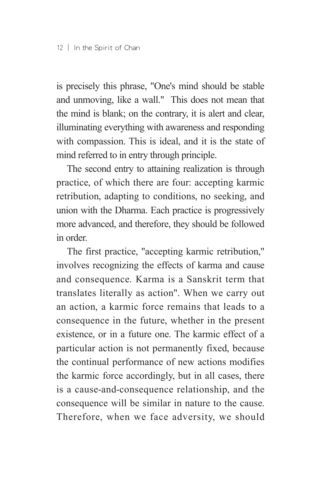is precisely this phrase, "One's mind should be stable and unmoving, like a wall." This does not mean that the mind is blank; on the contrary, it is alert and clear, illuminating everything with awareness and responding with compassion. This is ideal, and it is the state of mind referred to in entry through principle.

The second entry to attaining realization is through practice, of which there are four: accepting karmic retribution, adapting to conditions, no seeking, and union with the Dharma. Each practice is progressively more advanced, and therefore, they should be followed in order.

The first practice, "accepting karmic retribution," involves recognizing the effects of karma and cause and consequence. Karma is a Sanskrit term that translates literally as action". When we carry out an action, a karmic force remains that leads to a consequence in the future, whether in the present existence, or in a future one. The karmic effect of a particular action is not permanently fixed, because the continual performance of new actions modifies the karmic force accordingly, but in all cases, there is a cause-and-consequence relationship, and the consequence will be similar in nature to the cause. Therefore, when we face adversity, we should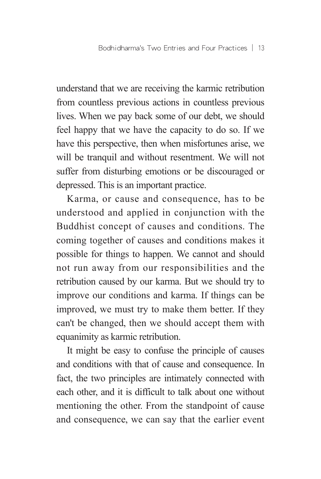understand that we are receiving the karmic retribution from countless previous actions in countless previous lives. When we pay back some of our debt, we should feel happy that we have the capacity to do so. If we have this perspective, then when misfortunes arise, we will be tranquil and without resentment. We will not suffer from disturbing emotions or be discouraged or depressed. This is an important practice.

Karma, or cause and consequence, has to be understood and applied in conjunction with the Buddhist concept of causes and conditions. The coming together of causes and conditions makes it possible for things to happen. We cannot and should not run away from our responsibilities and the retribution caused by our karma. But we should try to improve our conditions and karma. If things can be improved, we must try to make them better. If they can't be changed, then we should accept them with equanimity as karmic retribution.

It might be easy to confuse the principle of causes and conditions with that of cause and consequence. In fact, the two principles are intimately connected with each other, and it is difficult to talk about one without mentioning the other. From the standpoint of cause and consequence, we can say that the earlier event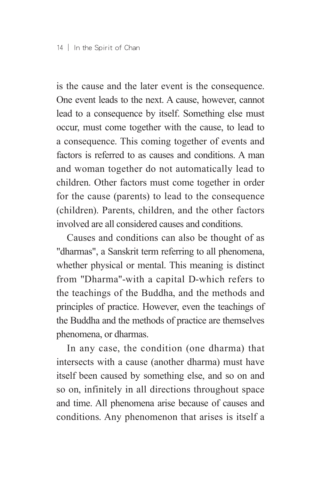is the cause and the later event is the consequence. One event leads to the next. A cause, however, cannot lead to a consequence by itself. Something else must occur, must come together with the cause, to lead to a consequence. This coming together of events and factors is referred to as causes and conditions. A man and woman together do not automatically lead to children. Other factors must come together in order for the cause (parents) to lead to the consequence (children). Parents, children, and the other factors involved are all considered causes and conditions.

Causes and conditions can also be thought of as "dharmas", a Sanskrit term referring to all phenomena, whether physical or mental. This meaning is distinct from "Dharma"-with a capital D-which refers to the teachings of the Buddha, and the methods and principles of practice. However, even the teachings of the Buddha and the methods of practice are themselves phenomena, or dharmas.

In any case, the condition (one dharma) that intersects with a cause (another dharma) must have itself been caused by something else, and so on and so on, infinitely in all directions throughout space and time. All phenomena arise because of causes and conditions. Any phenomenon that arises is itself a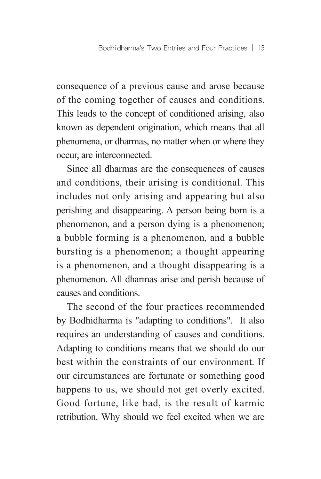consequence of a previous cause and arose because of the coming together of causes and conditions. This leads to the concept of conditioned arising, also known as dependent origination, which means that all phenomena, or dharmas, no matter when or where they occur, are interconnected.

Since all dharmas are the consequences of causes and conditions, their arising is conditional. This includes not only arising and appearing but also perishing and disappearing. A person being born is a phenomenon, and a person dying is a phenomenon; a bubble forming is a phenomenon, and a bubble bursting is a phenomenon; a thought appearing is a phenomenon, and a thought disappearing is a phenomenon. All dharmas arise and perish because of causes and conditions.

The second of the four practices recommended by Bodhidharma is "adapting to conditions". It also requires an understanding of causes and conditions. Adapting to conditions means that we should do our best within the constraints of our environment. If our circumstances are fortunate or something good happens to us, we should not get overly excited. Good fortune, like bad, is the result of karmic retribution. Why should we feel excited when we are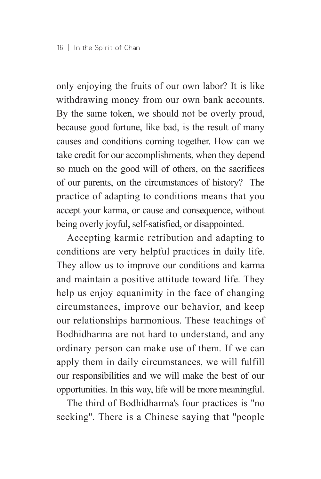only enjoying the fruits of our own labor? It is like withdrawing money from our own bank accounts. By the same token, we should not be overly proud, because good fortune, like bad, is the result of many causes and conditions coming together. How can we take credit for our accomplishments, when they depend so much on the good will of others, on the sacrifices of our parents, on the circumstances of history? The practice of adapting to conditions means that you accept your karma, or cause and consequence, without being overly joyful, self-satisfied, or disappointed.

Accepting karmic retribution and adapting to conditions are very helpful practices in daily life. They allow us to improve our conditions and karma and maintain a positive attitude toward life. They help us enjoy equanimity in the face of changing circumstances, improve our behavior, and keep our relationships harmonious. These teachings of Bodhidharma are not hard to understand, and any ordinary person can make use of them. If we can apply them in daily circumstances, we will fulfill our responsibilities and we will make the best of our opportunities. In this way, life will be more meaningful.

The third of Bodhidharma's four practices is "no seeking". There is a Chinese saying that "people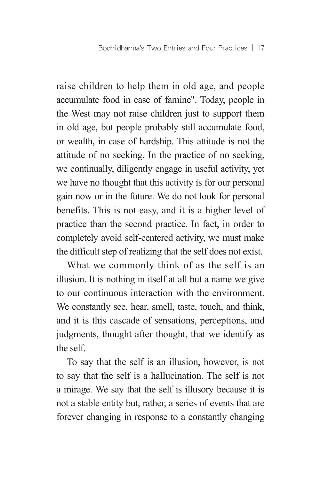Bodhidharma's Two Entries and Four Practices │ 17

raise children to help them in old age, and people accumulate food in case of famine". Today, people in the West may not raise children just to support them in old age, but people probably still accumulate food, or wealth, in case of hardship. This attitude is not the attitude of no seeking. In the practice of no seeking, we continually, diligently engage in useful activity, yet we have no thought that this activity is for our personal gain now or in the future. We do not look for personal benefits. This is not easy, and it is a higher level of practice than the second practice. In fact, in order to completely avoid self-centered activity, we must make the difficult step of realizing that the self does not exist.

What we commonly think of as the self is an illusion. It is nothing in itself at all but a name we give to our continuous interaction with the environment. We constantly see, hear, smell, taste, touch, and think, and it is this cascade of sensations, perceptions, and judgments, thought after thought, that we identify as the self.

To say that the self is an illusion, however, is not to say that the self is a hallucination. The self is not a mirage. We say that the self is illusory because it is not a stable entity but, rather, a series of events that are forever changing in response to a constantly changing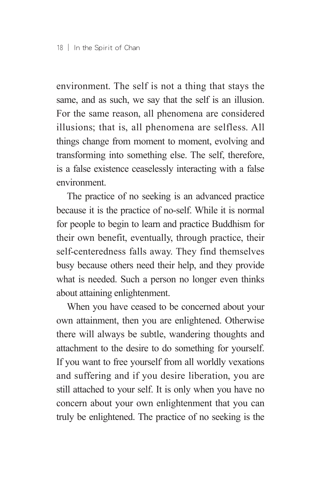environment. The self is not a thing that stays the same, and as such, we say that the self is an illusion. For the same reason, all phenomena are considered illusions; that is, all phenomena are selfless. All things change from moment to moment, evolving and transforming into something else. The self, therefore, is a false existence ceaselessly interacting with a false environment.

The practice of no seeking is an advanced practice because it is the practice of no-self. While it is normal for people to begin to learn and practice Buddhism for their own benefit, eventually, through practice, their self-centeredness falls away. They find themselves busy because others need their help, and they provide what is needed. Such a person no longer even thinks about attaining enlightenment.

When you have ceased to be concerned about your own attainment, then you are enlightened. Otherwise there will always be subtle, wandering thoughts and attachment to the desire to do something for yourself. If you want to free yourself from all worldly vexations and suffering and if you desire liberation, you are still attached to your self. It is only when you have no concern about your own enlightenment that you can truly be enlightened. The practice of no seeking is the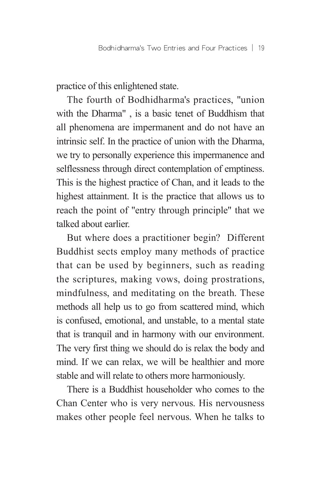practice of this enlightened state.

The fourth of Bodhidharma's practices, "union with the Dharma" , is a basic tenet of Buddhism that all phenomena are impermanent and do not have an intrinsic self. In the practice of union with the Dharma, we try to personally experience this impermanence and selflessness through direct contemplation of emptiness. This is the highest practice of Chan, and it leads to the highest attainment. It is the practice that allows us to reach the point of "entry through principle" that we talked about earlier.

But where does a practitioner begin? Different Buddhist sects employ many methods of practice that can be used by beginners, such as reading the scriptures, making vows, doing prostrations, mindfulness, and meditating on the breath. These methods all help us to go from scattered mind, which is confused, emotional, and unstable, to a mental state that is tranquil and in harmony with our environment. The very first thing we should do is relax the body and mind. If we can relax, we will be healthier and more stable and will relate to others more harmoniously.

There is a Buddhist householder who comes to the Chan Center who is very nervous. His nervousness makes other people feel nervous. When he talks to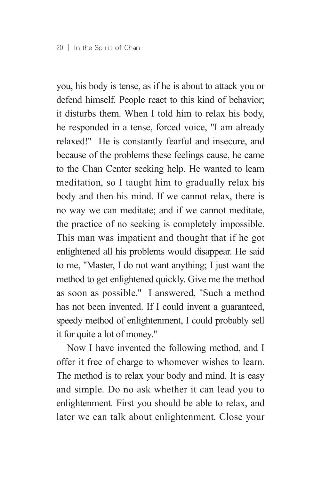you, his body is tense, as if he is about to attack you or defend himself. People react to this kind of behavior; it disturbs them. When I told him to relax his body, he responded in a tense, forced voice, "I am already relaxed!" He is constantly fearful and insecure, and because of the problems these feelings cause, he came to the Chan Center seeking help. He wanted to learn meditation, so I taught him to gradually relax his body and then his mind. If we cannot relax, there is no way we can meditate; and if we cannot meditate, the practice of no seeking is completely impossible. This man was impatient and thought that if he got enlightened all his problems would disappear. He said to me, "Master, I do not want anything; I just want the method to get enlightened quickly. Give me the method as soon as possible." I answered, "Such a method has not been invented. If I could invent a guaranteed, speedy method of enlightenment, I could probably sell it for quite a lot of money."

Now I have invented the following method, and I offer it free of charge to whomever wishes to learn. The method is to relax your body and mind. It is easy and simple. Do no ask whether it can lead you to enlightenment. First you should be able to relax, and later we can talk about enlightenment. Close your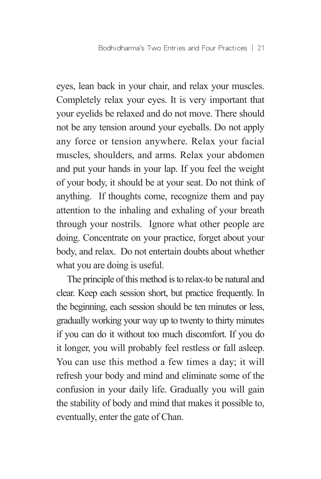eyes, lean back in your chair, and relax your muscles. Completely relax your eyes. It is very important that your eyelids be relaxed and do not move. There should not be any tension around your eyeballs. Do not apply any force or tension anywhere. Relax your facial muscles, shoulders, and arms. Relax your abdomen and put your hands in your lap. If you feel the weight of your body, it should be at your seat. Do not think of anything. If thoughts come, recognize them and pay attention to the inhaling and exhaling of your breath through your nostrils. Ignore what other people are doing. Concentrate on your practice, forget about your body, and relax. Do not entertain doubts about whether what you are doing is useful.

The principle of this method is to relax-to be natural and clear. Keep each session short, but practice frequently. In the beginning, each session should be ten minutes or less, gradually working your way up to twenty to thirty minutes if you can do it without too much discomfort. If you do it longer, you will probably feel restless or fall asleep. You can use this method a few times a day; it will refresh your body and mind and eliminate some of the confusion in your daily life. Gradually you will gain the stability of body and mind that makes it possible to, eventually, enter the gate of Chan.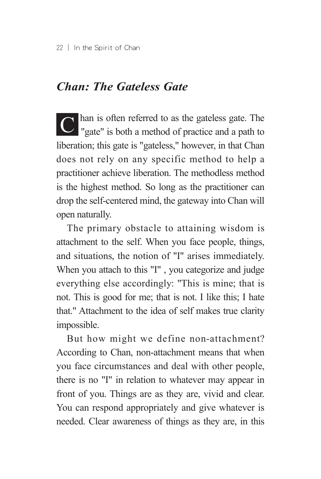#### *Chan: The Gateless Gate*

C han is often referred to as the gateless gate. The "gate" is both a method of practice and a path to liberation; this gate is "gateless," however, in that Chan does not rely on any specific method to help a practitioner achieve liberation. The methodless method is the highest method. So long as the practitioner can drop the self-centered mind, the gateway into Chan will open naturally.

The primary obstacle to attaining wisdom is attachment to the self. When you face people, things, and situations, the notion of "I" arises immediately. When you attach to this "I" , you categorize and judge everything else accordingly: "This is mine; that is not. This is good for me; that is not. I like this; I hate that." Attachment to the idea of self makes true clarity impossible.

But how might we define non-attachment? According to Chan, non-attachment means that when you face circumstances and deal with other people, there is no "I" in relation to whatever may appear in front of you. Things are as they are, vivid and clear. You can respond appropriately and give whatever is needed. Clear awareness of things as they are, in this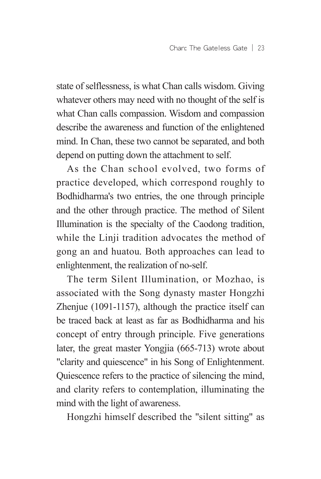state of selflessness, is what Chan calls wisdom. Giving whatever others may need with no thought of the self is what Chan calls compassion. Wisdom and compassion describe the awareness and function of the enlightened mind. In Chan, these two cannot be separated, and both depend on putting down the attachment to self.

As the Chan school evolved, two forms of practice developed, which correspond roughly to Bodhidharma's two entries, the one through principle and the other through practice. The method of Silent Illumination is the specialty of the Caodong tradition, while the Linji tradition advocates the method of gong an and huatou. Both approaches can lead to enlightenment, the realization of no-self.

The term Silent Illumination, or Mozhao, is associated with the Song dynasty master Hongzhi Zhenjue (1091-1157), although the practice itself can be traced back at least as far as Bodhidharma and his concept of entry through principle. Five generations later, the great master Yongjia (665-713) wrote about "clarity and quiescence" in his Song of Enlightenment. Quiescence refers to the practice of silencing the mind, and clarity refers to contemplation, illuminating the mind with the light of awareness.

Hongzhi himself described the "silent sitting" as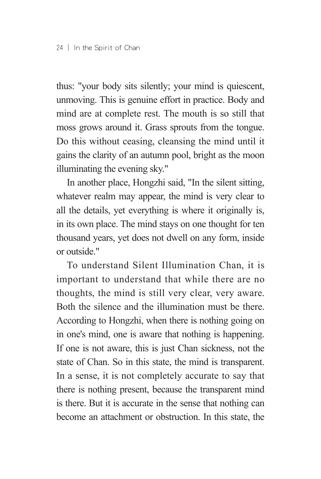thus: "your body sits silently; your mind is quiescent, unmoving. This is genuine effort in practice. Body and mind are at complete rest. The mouth is so still that moss grows around it. Grass sprouts from the tongue. Do this without ceasing, cleansing the mind until it gains the clarity of an autumn pool, bright as the moon illuminating the evening sky."

In another place, Hongzhi said, "In the silent sitting, whatever realm may appear, the mind is very clear to all the details, yet everything is where it originally is, in its own place. The mind stays on one thought for ten thousand years, yet does not dwell on any form, inside or outside."

To understand Silent Illumination Chan, it is important to understand that while there are no thoughts, the mind is still very clear, very aware. Both the silence and the illumination must be there. According to Hongzhi, when there is nothing going on in one's mind, one is aware that nothing is happening. If one is not aware, this is just Chan sickness, not the state of Chan. So in this state, the mind is transparent. In a sense, it is not completely accurate to say that there is nothing present, because the transparent mind is there. But it is accurate in the sense that nothing can become an attachment or obstruction. In this state, the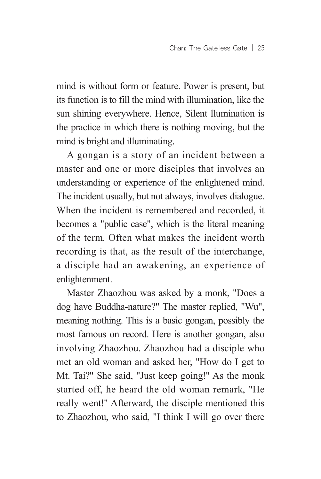mind is without form or feature. Power is present, but its function is to fill the mind with illumination, like the sun shining everywhere. Hence, Silent llumination is the practice in which there is nothing moving, but the mind is bright and illuminating.

A gongan is a story of an incident between a master and one or more disciples that involves an understanding or experience of the enlightened mind. The incident usually, but not always, involves dialogue. When the incident is remembered and recorded, it becomes a "public case", which is the literal meaning of the term. Often what makes the incident worth recording is that, as the result of the interchange, a disciple had an awakening, an experience of enlightenment.

Master Zhaozhou was asked by a monk, "Does a dog have Buddha-nature?" The master replied, "Wu", meaning nothing. This is a basic gongan, possibly the most famous on record. Here is another gongan, also involving Zhaozhou. Zhaozhou had a disciple who met an old woman and asked her, "How do I get to Mt. Tai?" She said, "Just keep going!" As the monk started off, he heard the old woman remark, "He really went!" Afterward, the disciple mentioned this to Zhaozhou, who said, "I think I will go over there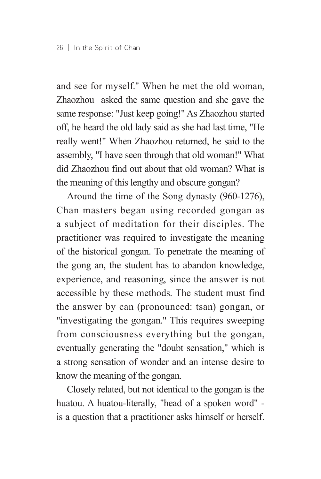and see for myself." When he met the old woman, Zhaozhou asked the same question and she gave the same response: "Just keep going!" As Zhaozhou started off, he heard the old lady said as she had last time, "He really went!" When Zhaozhou returned, he said to the assembly, "I have seen through that old woman!" What did Zhaozhou find out about that old woman? What is the meaning of this lengthy and obscure gongan?

Around the time of the Song dynasty (960-1276), Chan masters began using recorded gongan as a subject of meditation for their disciples. The practitioner was required to investigate the meaning of the historical gongan. To penetrate the meaning of the gong an, the student has to abandon knowledge, experience, and reasoning, since the answer is not accessible by these methods. The student must find the answer by can (pronounced: tsan) gongan, or "investigating the gongan." This requires sweeping from consciousness everything but the gongan, eventually generating the "doubt sensation," which is a strong sensation of wonder and an intense desire to know the meaning of the gongan.

Closely related, but not identical to the gongan is the huatou. A huatou-literally, "head of a spoken word" is a question that a practitioner asks himself or herself.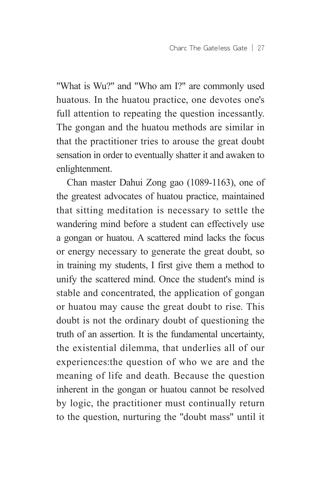"What is Wu?" and "Who am I?" are commonly used huatous. In the huatou practice, one devotes one's full attention to repeating the question incessantly. The gongan and the huatou methods are similar in that the practitioner tries to arouse the great doubt sensation in order to eventually shatter it and awaken to enlightenment.

Chan master Dahui Zong gao (1089-1163), one of the greatest advocates of huatou practice, maintained that sitting meditation is necessary to settle the wandering mind before a student can effectively use a gongan or huatou. A scattered mind lacks the focus or energy necessary to generate the great doubt, so in training my students, I first give them a method to unify the scattered mind. Once the student's mind is stable and concentrated, the application of gongan or huatou may cause the great doubt to rise. This doubt is not the ordinary doubt of questioning the truth of an assertion. It is the fundamental uncertainty, the existential dilemma, that underlies all of our experiences:the question of who we are and the meaning of life and death. Because the question inherent in the gongan or huatou cannot be resolved by logic, the practitioner must continually return to the question, nurturing the "doubt mass" until it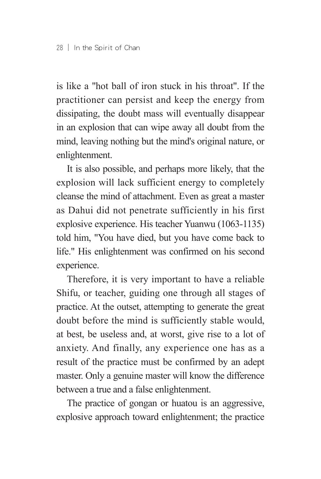is like a "hot ball of iron stuck in his throat". If the practitioner can persist and keep the energy from dissipating, the doubt mass will eventually disappear in an explosion that can wipe away all doubt from the mind, leaving nothing but the mind's original nature, or enlightenment.

It is also possible, and perhaps more likely, that the explosion will lack sufficient energy to completely cleanse the mind of attachment. Even as great a master as Dahui did not penetrate sufficiently in his first explosive experience. His teacher Yuanwu (1063-1135) told him, "You have died, but you have come back to life." His enlightenment was confirmed on his second experience.

Therefore, it is very important to have a reliable Shifu, or teacher, guiding one through all stages of practice. At the outset, attempting to generate the great doubt before the mind is sufficiently stable would, at best, be useless and, at worst, give rise to a lot of anxiety. And finally, any experience one has as a result of the practice must be confirmed by an adept master. Only a genuine master will know the difference between a true and a false enlightenment.

The practice of gongan or huatou is an aggressive, explosive approach toward enlightenment; the practice